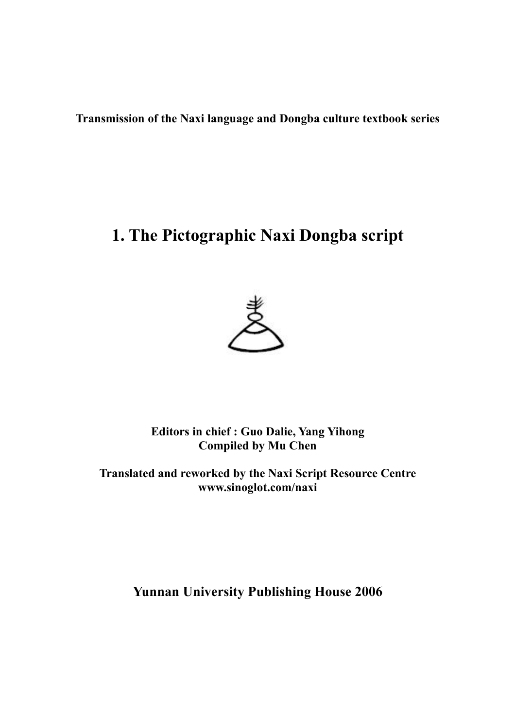**Transmission of the Naxi language and Dongba culture textbook series**

## **1. The Pictographic Naxi Dongba script**



**Editors in chief : Guo Dalie, Yang Yihong Compiled by Mu Chen**

**Translated and reworked by the Naxi Script Resource Centre www.sinoglot.com/naxi**

**Yunnan University Publishing House 2006**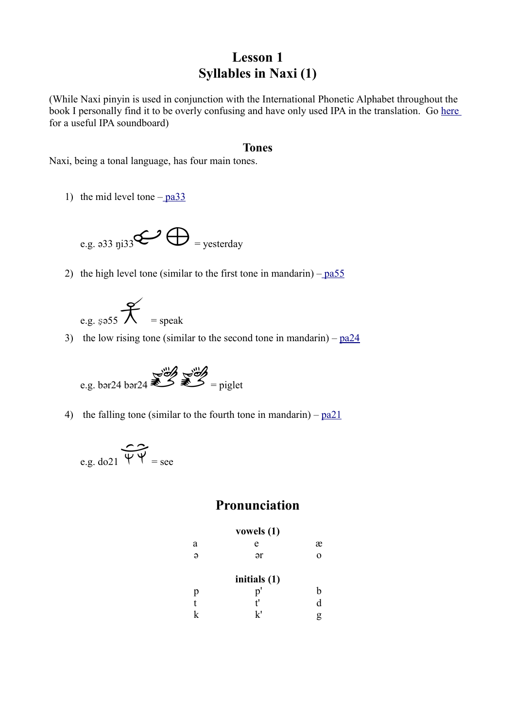## **Lesson 1 Syllables in Naxi (1)**

(While Naxi pinyin is used in conjunction with the International Phonetic Alphabet throughout the book I personally find it to be overly confusing and have only used IPA in the translation. Go [here](http://web.uvic.ca/ling/resources/ipa/charts/IPAlab/IPAlab.htm) for a useful IPA soundboard)

#### **Tones**

Naxi, being a tonal language, has four main tones.

1) the mid level tone  $-\frac{p a 33}{2}$ 

e.g. a33 nji33 
$$
\bigoplus
$$
 = yesterday

2) the high level tone (similar to the first tone in mandarin) –  $p a 55$ 



3) the low rising tone (similar to the second tone in mandarin) –  $pa24$ 

$$
\text{e.g. bar24 bar24} \begin{picture}(100,100) \put(0,0){\vector(0,1){100}} \put(10,0){\vector(0,1){100}} \put(10,0){\vector(0,1){100}} \put(10,0){\vector(0,1){100}} \put(10,0){\vector(0,1){100}} \put(10,0){\vector(0,1){100}} \put(10,0){\vector(0,1){100}} \put(10,0){\vector(0,1){100}} \put(10,0){\vector(0,1){100}} \put(10,0){\vector(0,1){100}} \put(10,0){\vector(0,1){100}} \put(10,0){\vector(0,1){100}} \put(10,0){\vector(0,1){100}} \put(10,0){\vector(0,1){100}} \put(10,0){\vector(0,1){100}} \put(10,0){\vector(0,1){100}} \put(10,0){\vector(0,1){100}} \put(10,0){\vector(0,1){100}} \put(10,0){\vector(0,1){100}} \put(10,0){\vector(0,1){100}} \put(10,0){\vector(0,1){100}} \put(10,0){\vector(0,1){100}} \put(10,0){\vector(0,1){100}} \put(10,0){\vector(0,1){100}} \put(10,0){\vector(0,1){100}} \put(10,0){\vector(0,1){100}} \put(10,0){\vector(0,1){100}} \put(10,0){\vector(0,1){100}} \put(10,0){\vector(0,1){100}} \put(10,0){\vector(0,1){100}} \put(10,0){\vector(0,1){100}} \put(10,0){\vector(0,1){100}} \put(10,0){\vector(0,1){100}} \put(10,0){\vector(0,1){100}} \put(10,0){\vector(0,1){100}} \put(10,0){\vector(0,1){100}} \put(10,0){\vector(0,1){100}} \put(10,0){\vector(0,1){100}} \put(10,0){\vector(0,
$$

4) the falling tone (similar to the fourth tone in mandarin) –  $p_2$  [pa21](http://www.sinoglot.com/naxi/wp-content/uploads/2009/11/21.wav)

e.g. do21 
$$
\overbrace{\Psi \Psi}^{\text{ce}}
$$
 = see

## **Pronunciation**

#### **vowels (1)**

| а        | e            | æ        |
|----------|--------------|----------|
| $\Theta$ | ər           | $\Omega$ |
|          | initials (1) |          |
| p        | p'           | h        |
| t        | f'           | d        |
| k        | k'           | g        |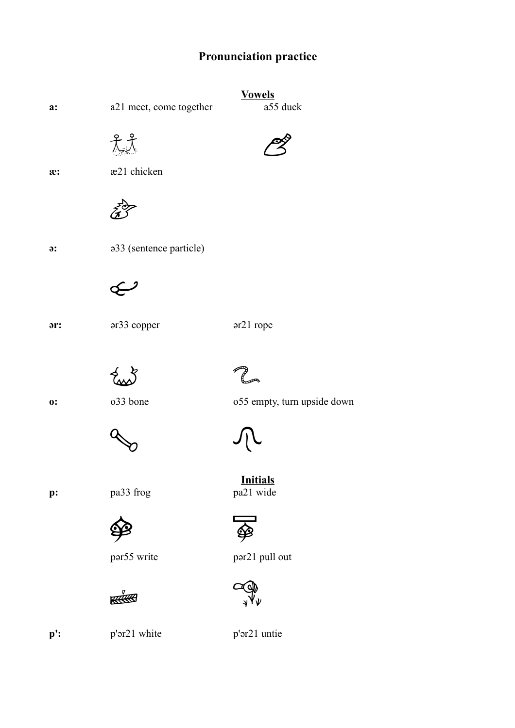## **Pronunciation practice**



**p':** p'ər21 white p'ər21 untie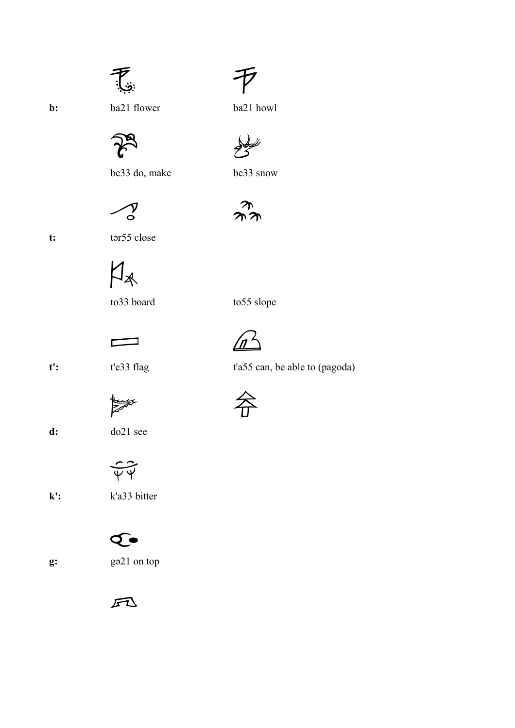# 怎



be33 do, make be33 snow



**t:** tər55 close

 $M_{*}$ 

to 33 board to 55 slope

 $\Box$ 

t': t'e33 flag t'a55 can, be able to (pagoda)





**d:** do21 see

 $\overline{\Psi\Psi}$ 

**k':** k'a33 bitter

## $\mathbf{\Omega}$



 $F1$ 



**b:** ba21 flower ba21 howl